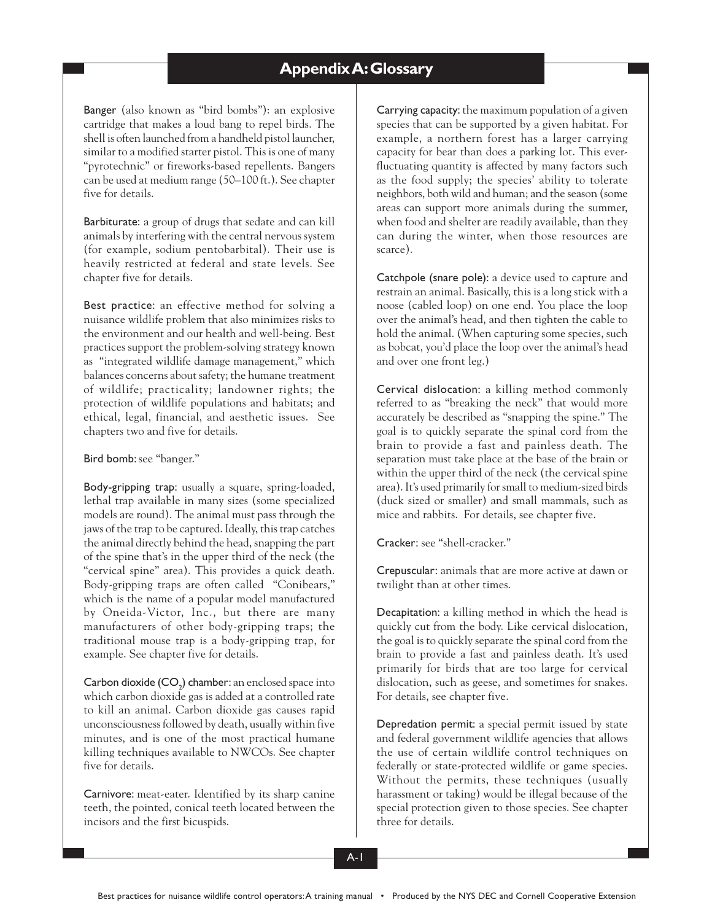## - **Appendix A: Glossary**

Banger (also known as "bird bombs"): an explosive cartridge that makes a loud bang to repel birds. The shell is often launched from a handheld pistol launcher, similar to a modified starter pistol. This is one of many "pyrotechnic" or fireworks-based repellents. Bangers can be used at medium range (50–100 ft.). See chapter five for details.

Barbiturate: a group of drugs that sedate and can kill animals by interfering with the central nervous system (for example, sodium pentobarbital). Their use is heavily restricted at federal and state levels. See chapter five for details.

Best practice: an effective method for solving a nuisance wildlife problem that also minimizes risks to the environment and our health and well-being. Best practices support the problem-solving strategy known as "integrated wildlife damage management," which balances concerns about safety; the humane treatment of wildlife; practicality; landowner rights; the protection of wildlife populations and habitats; and ethical, legal, financial, and aesthetic issues. See chapters two and five for details.

## Bird bomb: see "banger."

Body-gripping trap: usually a square, spring-loaded, lethal trap available in many sizes (some specialized models are round). The animal must pass through the jaws of the trap to be captured. Ideally, this trap catches the animal directly behind the head, snapping the part of the spine that's in the upper third of the neck (the "cervical spine" area). This provides a quick death. Body-gripping traps are often called "Conibears," which is the name of a popular model manufactured by Oneida-Victor, Inc., but there are many manufacturers of other body-gripping traps; the traditional mouse trap is a body-gripping trap, for example. See chapter five for details.

 $\mathsf{Carbon}\ \mathsf{doxide}\ (\mathsf{CO}_2\ \mathsf{chamber}\ \mathsf{can}\ \mathsf{enclosed}\ \mathsf{space}\ \mathsf{into}$ which carbon dioxide gas is added at a controlled rate to kill an animal. Carbon dioxide gas causes rapid unconsciousness followed by death, usually within five minutes, and is one of the most practical humane killing techniques available to NWCOs. See chapter five for details.

Carnivore: meat-eater. Identified by its sharp canine teeth, the pointed, conical teeth located between the incisors and the first bicuspids.

Carrying capacity: the maximum population of a given species that can be supported by a given habitat. For example, a northern forest has a larger carrying capacity for bear than does a parking lot. This everfluctuating quantity is affected by many factors such as the food supply; the species' ability to tolerate neighbors, both wild and human; and the season (some areas can support more animals during the summer, when food and shelter are readily available, than they can during the winter, when those resources are scarce).

Catchpole (snare pole): a device used to capture and restrain an animal. Basically, this is a long stick with a noose (cabled loop) on one end. You place the loop over the animal's head, and then tighten the cable to hold the animal. (When capturing some species, such as bobcat, you'd place the loop over the animal's head and over one front leg.)

Cervical dislocation: a killing method commonly referred to as "breaking the neck" that would more accurately be described as "snapping the spine." The goal is to quickly separate the spinal cord from the brain to provide a fast and painless death. The separation must take place at the base of the brain or within the upper third of the neck (the cervical spine area). It's used primarily for small to medium-sized birds (duck sized or smaller) and small mammals, such as mice and rabbits. For details, see chapter five.

Cracker: see "shell-cracker."

Crepuscular: animals that are more active at dawn or twilight than at other times.

Decapitation: a killing method in which the head is quickly cut from the body. Like cervical dislocation, the goal is to quickly separate the spinal cord from the brain to provide a fast and painless death. It's used primarily for birds that are too large for cervical dislocation, such as geese, and sometimes for snakes. For details, see chapter five.

Depredation permit: a special permit issued by state and federal government wildlife agencies that allows the use of certain wildlife control techniques on federally or state-protected wildlife or game species. Without the permits, these techniques (usually harassment or taking) would be illegal because of the special protection given to those species. See chapter three for details.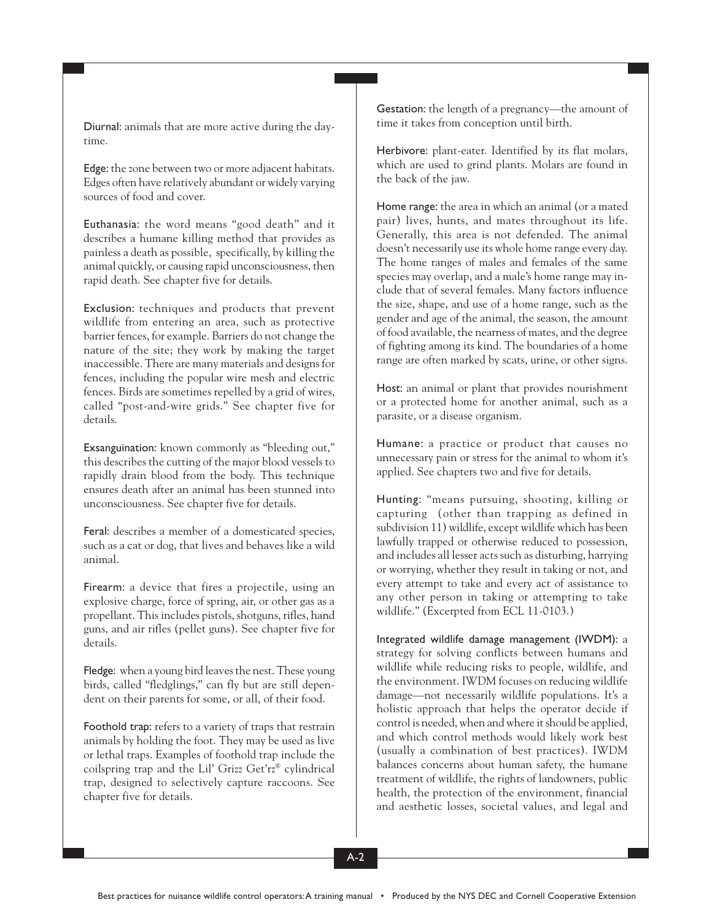Diurnal: animals that are more active during the daytime.

Edge: the zone between two or more adjacent habitats. Edges often have relatively abundant or widely varying sources of food and cover.

Euthanasia: the word means "good death" and it describes a humane killing method that provides as painless a death as possible, specifically, by killing the animal quickly, or causing rapid unconsciousness, then rapid death. See chapter five for details.

Exclusion: techniques and products that prevent wildlife from entering an area, such as protective barrier fences, for example. Barriers do not change the nature of the site; they work by making the target inaccessible. There are many materials and designs for fences, including the popular wire mesh and electric fences. Birds are sometimes repelled by a grid of wires, called "post-and-wire grids." See chapter five for details.

Exsanguination: known commonly as "bleeding out," this describes the cutting of the major blood vessels to rapidly drain blood from the body. This technique ensures death after an animal has been stunned into unconsciousness. See chapter five for details.

Feral: describes a member of a domesticated species, such as a cat or dog, that lives and behaves like a wild animal.

Firearm: a device that fires a projectile, using an explosive charge, force of spring, air, or other gas as a propellant. This includes pistols, shotguns, rifles, hand guns, and air rifles (pellet guns). See chapter five for details.

Fledge: when a young bird leaves the nest. These young birds, called "fledglings," can fly but are still dependent on their parents for some, or all, of their food.

Foothold trap: refers to a variety of traps that restrain animals by holding the foot. They may be used as live or lethal traps. Examples of foothold trap include the coilspring trap and the Lil' Grizz Get'rz® cylindrical trap, designed to selectively capture raccoons. See chapter five for details.

Gestation: the length of a pregnancy—the amount of time it takes from conception until birth.

-÷

> Herbivore: plant-eater. Identified by its flat molars, which are used to grind plants. Molars are found in the back of the jaw.

> Home range: the area in which an animal (or a mated pair) lives, hunts, and mates throughout its life. Generally, this area is not defended. The animal doesn't necessarily use its whole home range every day. The home ranges of males and females of the same species may overlap, and a male's home range may include that of several females. Many factors influence the size, shape, and use of a home range, such as the gender and age of the animal, the season, the amount of food available, the nearness of mates, and the degree of fighting among its kind. The boundaries of a home range are often marked by scats, urine, or other signs.

> Host: an animal or plant that provides nourishment or a protected home for another animal, such as a parasite, or a disease organism.

> Humane: a practice or product that causes no unnecessary pain or stress for the animal to whom it's applied. See chapters two and five for details.

> Hunting: "means pursuing, shooting, killing or capturing (other than trapping as defined in subdivision 11) wildlife, except wildlife which has been lawfully trapped or otherwise reduced to possession, and includes all lesser acts such as disturbing, harrying or worrying, whether they result in taking or not, and every attempt to take and every act of assistance to any other person in taking or attempting to take wildlife." (Excerpted from ECL 11-0103.)

> Integrated wildlife damage management (IWDM): a strategy for solving conflicts between humans and wildlife while reducing risks to people, wildlife, and the environment. IWDM focuses on reducing wildlife damage—not necessarily wildlife populations. It's a holistic approach that helps the operator decide if control is needed, when and where it should be applied, and which control methods would likely work best (usually a combination of best practices). IWDM balances concerns about human safety, the humane treatment of wildlife, the rights of landowners, public health, the protection of the environment, financial and aesthetic losses, societal values, and legal and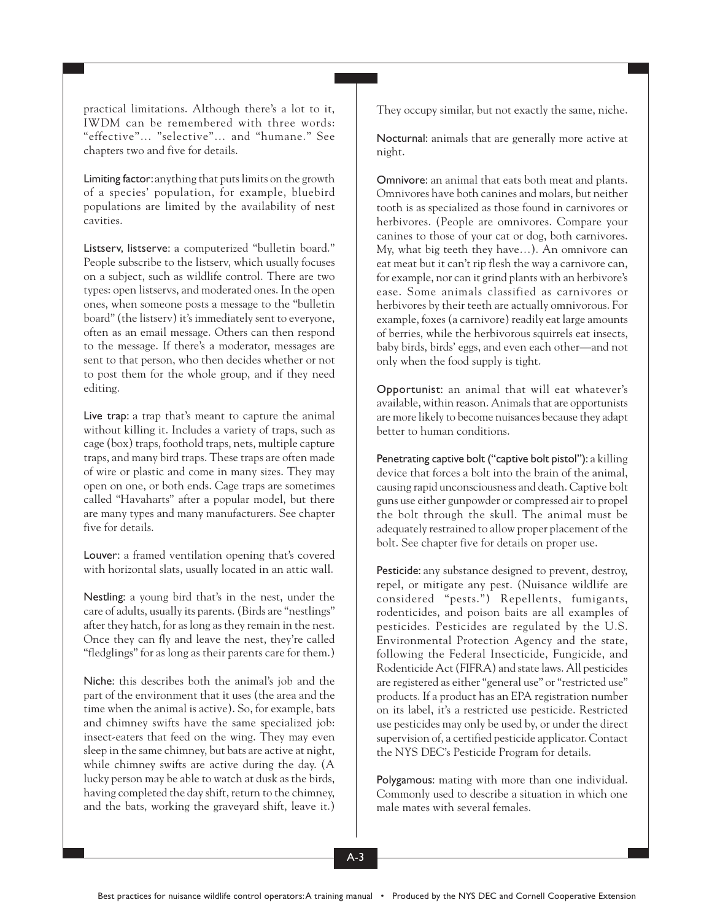practical limitations. Although there's a lot to it, IWDM can be remembered with three words: "effective"… "selective"… and "humane." See chapters two and five for details.

Limiting factor: anything that puts limits on the growth of a species' population, for example, bluebird populations are limited by the availability of nest cavities.

Listserv, listserve: a computerized "bulletin board." People subscribe to the listserv, which usually focuses on a subject, such as wildlife control. There are two types: open listservs, and moderated ones. In the open ones, when someone posts a message to the "bulletin board" (the listserv) it's immediately sent to everyone, often as an email message. Others can then respond to the message. If there's a moderator, messages are sent to that person, who then decides whether or not to post them for the whole group, and if they need editing.

Live trap: a trap that's meant to capture the animal without killing it. Includes a variety of traps, such as cage (box) traps, foothold traps, nets, multiple capture traps, and many bird traps. These traps are often made of wire or plastic and come in many sizes. They may open on one, or both ends. Cage traps are sometimes called "Havaharts" after a popular model, but there are many types and many manufacturers. See chapter five for details.

Louver: a framed ventilation opening that's covered with horizontal slats, usually located in an attic wall.

Nestling: a young bird that's in the nest, under the care of adults, usually its parents. (Birds are "nestlings" after they hatch, for as long as they remain in the nest. Once they can fly and leave the nest, they're called "fledglings" for as long as their parents care for them.)

Niche: this describes both the animal's job and the part of the environment that it uses (the area and the time when the animal is active). So, for example, bats and chimney swifts have the same specialized job: insect-eaters that feed on the wing. They may even sleep in the same chimney, but bats are active at night, while chimney swifts are active during the day. (A lucky person may be able to watch at dusk as the birds, having completed the day shift, return to the chimney, and the bats, working the graveyard shift, leave it.) They occupy similar, but not exactly the same, niche.

-÷

> Nocturnal: animals that are generally more active at night.

> Omnivore: an animal that eats both meat and plants. Omnivores have both canines and molars, but neither tooth is as specialized as those found in carnivores or herbivores. (People are omnivores. Compare your canines to those of your cat or dog, both carnivores. My, what big teeth they have…). An omnivore can eat meat but it can't rip flesh the way a carnivore can, for example, nor can it grind plants with an herbivore's ease. Some animals classified as carnivores or herbivores by their teeth are actually omnivorous. For example, foxes (a carnivore) readily eat large amounts of berries, while the herbivorous squirrels eat insects, baby birds, birds' eggs, and even each other—and not only when the food supply is tight.

> Opportunist: an animal that will eat whatever's available, within reason. Animals that are opportunists are more likely to become nuisances because they adapt better to human conditions.

> Penetrating captive bolt ("captive bolt pistol"): a killing device that forces a bolt into the brain of the animal, causing rapid unconsciousness and death. Captive bolt guns use either gunpowder or compressed air to propel the bolt through the skull. The animal must be adequately restrained to allow proper placement of the bolt. See chapter five for details on proper use.

> Pesticide: any substance designed to prevent, destroy, repel, or mitigate any pest. (Nuisance wildlife are considered "pests.") Repellents, fumigants, rodenticides, and poison baits are all examples of pesticides. Pesticides are regulated by the U.S. Environmental Protection Agency and the state, following the Federal Insecticide, Fungicide, and Rodenticide Act (FIFRA) and state laws. All pesticides are registered as either "general use" or "restricted use" products. If a product has an EPA registration number on its label, it's a restricted use pesticide. Restricted use pesticides may only be used by, or under the direct supervision of, a certified pesticide applicator. Contact the NYS DEC's Pesticide Program for details.

> Polygamous: mating with more than one individual. Commonly used to describe a situation in which one male mates with several females.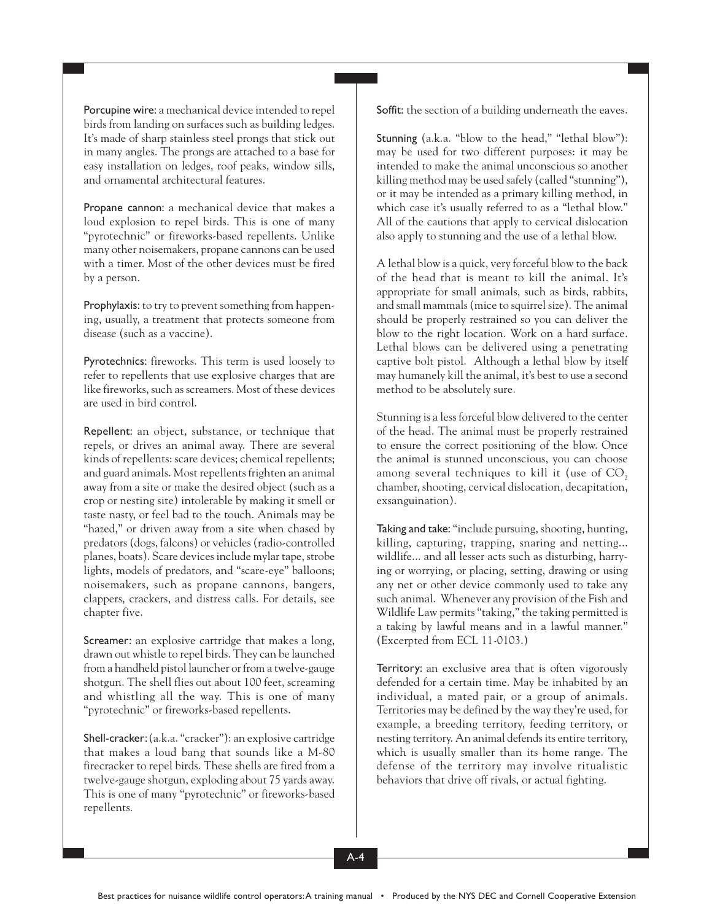Porcupine wire: a mechanical device intended to repel birds from landing on surfaces such as building ledges. It's made of sharp stainless steel prongs that stick out in many angles. The prongs are attached to a base for easy installation on ledges, roof peaks, window sills, and ornamental architectural features.

Propane cannon: a mechanical device that makes a loud explosion to repel birds. This is one of many "pyrotechnic" or fireworks-based repellents. Unlike many other noisemakers, propane cannons can be used with a timer. Most of the other devices must be fired by a person.

Prophylaxis: to try to prevent something from happening, usually, a treatment that protects someone from disease (such as a vaccine).

Pyrotechnics: fireworks. This term is used loosely to refer to repellents that use explosive charges that are like fireworks, such as screamers. Most of these devices are used in bird control.

Repellent: an object, substance, or technique that repels, or drives an animal away. There are several kinds of repellents: scare devices; chemical repellents; and guard animals. Most repellents frighten an animal away from a site or make the desired object (such as a crop or nesting site) intolerable by making it smell or taste nasty, or feel bad to the touch. Animals may be "hazed," or driven away from a site when chased by predators (dogs, falcons) or vehicles (radio-controlled planes, boats). Scare devices include mylar tape, strobe lights, models of predators, and "scare-eye" balloons; noisemakers, such as propane cannons, bangers, clappers, crackers, and distress calls. For details, see chapter five.

Screamer: an explosive cartridge that makes a long, drawn out whistle to repel birds. They can be launched from a handheld pistol launcher or from a twelve-gauge shotgun. The shell flies out about 100 feet, screaming and whistling all the way. This is one of many "pyrotechnic" or fireworks-based repellents.

Shell-cracker: (a.k.a. "cracker"): an explosive cartridge that makes a loud bang that sounds like a M-80 firecracker to repel birds. These shells are fired from a twelve-gauge shotgun, exploding about 75 yards away. This is one of many "pyrotechnic" or fireworks-based repellents.

Soffit: the section of a building underneath the eaves.

-÷

> Stunning (a.k.a. "blow to the head," "lethal blow"): may be used for two different purposes: it may be intended to make the animal unconscious so another killing method may be used safely (called "stunning"), or it may be intended as a primary killing method, in which case it's usually referred to as a "lethal blow." All of the cautions that apply to cervical dislocation also apply to stunning and the use of a lethal blow.

> A lethal blow is a quick, very forceful blow to the back of the head that is meant to kill the animal. It's appropriate for small animals, such as birds, rabbits, and small mammals (mice to squirrel size). The animal should be properly restrained so you can deliver the blow to the right location. Work on a hard surface. Lethal blows can be delivered using a penetrating captive bolt pistol. Although a lethal blow by itself may humanely kill the animal, it's best to use a second method to be absolutely sure.

> Stunning is a less forceful blow delivered to the center of the head. The animal must be properly restrained to ensure the correct positioning of the blow. Once the animal is stunned unconscious, you can choose among several techniques to kill it (use of  $CO<sub>2</sub>$ chamber, shooting, cervical dislocation, decapitation, exsanguination).

> Taking and take: "include pursuing, shooting, hunting, killing, capturing, trapping, snaring and netting... wildlife... and all lesser acts such as disturbing, harrying or worrying, or placing, setting, drawing or using any net or other device commonly used to take any such animal. Whenever any provision of the Fish and Wildlife Law permits "taking," the taking permitted is a taking by lawful means and in a lawful manner." (Excerpted from ECL 11-0103.)

> Territory: an exclusive area that is often vigorously defended for a certain time. May be inhabited by an individual, a mated pair, or a group of animals. Territories may be defined by the way they're used, for example, a breeding territory, feeding territory, or nesting territory. An animal defends its entire territory, which is usually smaller than its home range. The defense of the territory may involve ritualistic behaviors that drive off rivals, or actual fighting.